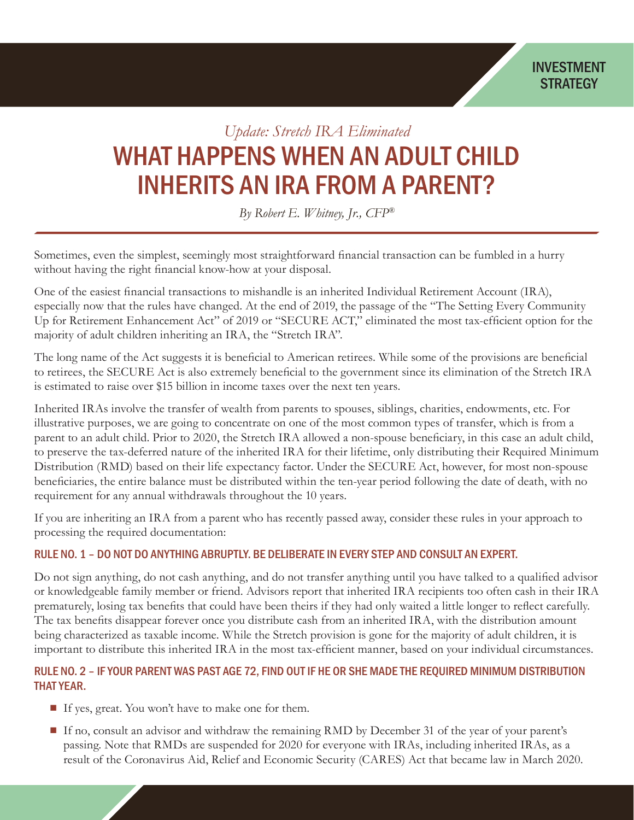# *Update: Stretch IRA Eliminated*  WHAT HAPPENS WHEN AN ADULT CHILD INHERITS AN IRA FROM A PARENT?

*By Robert E. Whitney, Jr., CFP®*

Sometimes, even the simplest, seemingly most straightforward financial transaction can be fumbled in a hurry without having the right financial know-how at your disposal.

One of the easiest financial transactions to mishandle is an inherited Individual Retirement Account (IRA), especially now that the rules have changed. At the end of 2019, the passage of the "The Setting Every Community Up for Retirement Enhancement Act" of 2019 or "SECURE ACT," eliminated the most tax-efficient option for the majority of adult children inheriting an IRA, the "Stretch IRA".

The long name of the Act suggests it is beneficial to American retirees. While some of the provisions are beneficial to retirees, the SECURE Act is also extremely beneficial to the government since its elimination of the Stretch IRA is estimated to raise over \$15 billion in income taxes over the next ten years.

Inherited IRAs involve the transfer of wealth from parents to spouses, siblings, charities, endowments, etc. For illustrative purposes, we are going to concentrate on one of the most common types of transfer, which is from a parent to an adult child. Prior to 2020, the Stretch IRA allowed a non-spouse beneficiary, in this case an adult child, to preserve the tax-deferred nature of the inherited IRA for their lifetime, only distributing their Required Minimum Distribution (RMD) based on their life expectancy factor. Under the SECURE Act, however, for most non-spouse beneficiaries, the entire balance must be distributed within the ten-year period following the date of death, with no requirement for any annual withdrawals throughout the 10 years.

If you are inheriting an IRA from a parent who has recently passed away, consider these rules in your approach to processing the required documentation:

### RULE NO. 1 – DO NOT DO ANYTHING ABRUPTLY. BE DELIBERATE IN EVERY STEP AND CONSULT AN EXPERT.

Do not sign anything, do not cash anything, and do not transfer anything until you have talked to a qualified advisor or knowledgeable family member or friend. Advisors report that inherited IRA recipients too often cash in their IRA prematurely, losing tax benefits that could have been theirs if they had only waited a little longer to reflect carefully. The tax benefits disappear forever once you distribute cash from an inherited IRA, with the distribution amount being characterized as taxable income. While the Stretch provision is gone for the majority of adult children, it is important to distribute this inherited IRA in the most tax-efficient manner, based on your individual circumstances.

### RULE NO. 2 – IF YOUR PARENT WAS PAST AGE 72, FIND OUT IF HE OR SHE MADE THE REQUIRED MINIMUM DISTRIBUTION THAT YEAR.

- If yes, great. You won't have to make one for them.
- If no, consult an advisor and withdraw the remaining RMD by December 31 of the year of your parent's passing. Note that RMDs are suspended for 2020 for everyone with IRAs, including inherited IRAs, as a result of the Coronavirus Aid, Relief and Economic Security (CARES) Act that became law in March 2020.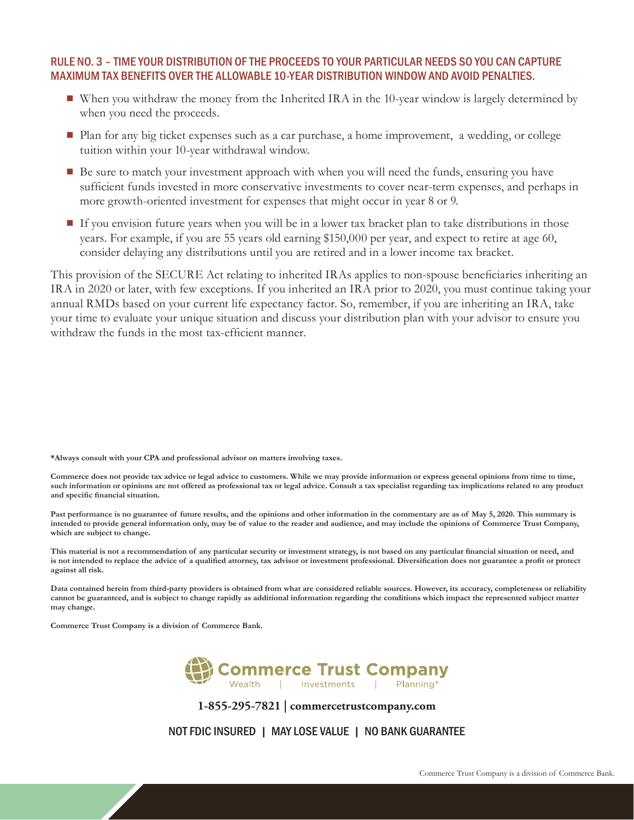#### RULE NO. 3 – TIME YOUR DISTRIBUTION OF THE PROCEEDS TO YOUR PARTICULAR NEEDS SO YOU CAN CAPTURE MAXIMUM TAX BENEFITS OVER THE ALLOWABLE 10-YEAR DISTRIBUTION WINDOW AND AVOID PENALTIES.

- When you withdraw the money from the Inherited IRA in the 10-year window is largely determined by when you need the proceeds.
- Plan for any big ticket expenses such as a car purchase, a home improvement, a wedding, or college tuition within your 10-year withdrawal window.
- Be sure to match your investment approach with when you will need the funds, ensuring you have sufficient funds invested in more conservative investments to cover near-term expenses, and perhaps in more growth-oriented investment for expenses that might occur in year 8 or 9.
- If you envision future years when you will be in a lower tax bracket plan to take distributions in those years. For example, if you are 55 years old earning \$150,000 per year, and expect to retire at age 60, consider delaying any distributions until you are retired and in a lower income tax bracket.

This provision of the SECURE Act relating to inherited IRAs applies to non-spouse beneficiaries inheriting an IRA in 2020 or later, with few exceptions. If you inherited an IRA prior to 2020, you must continue taking your annual RMDs based on your current life expectancy factor. So, remember, if you are inheriting an IRA, take your time to evaluate your unique situation and discuss your distribution plan with your advisor to ensure you withdraw the funds in the most tax-efficient manner.

**\*Always consult with your CPA and professional advisor on matters involving taxes.** 

**Commerce does not provide tax advice or legal advice to customers. While we may provide information or express general opinions from time to time, such information or opinions are not offered as professional tax or legal advice. Consult a tax specialist regarding tax implications related to any product and specific financial situation.** 

**Past performance is no guarantee of future results, and the opinions and other information in the commentary are as of May 5, 2020. This summary is intended to provide general information only, may be of value to the reader and audience, and may include the opinions of Commerce Trust Company, which are subject to change.**

**This material is not a recommendation of any particular security or investment strategy, is not based on any particular financial situation or need, and**  is not intended to replace the advice of a qualified attorney, tax advisor or investment professional. Diversification does not guarantee a profit or protect **against all risk.**

**Data contained herein from third-party providers is obtained from what are considered reliable sources. However, its accuracy, completeness or reliability cannot be guaranteed, and is subject to change rapidly as additional information regarding the conditions which impact the represented subject matter may change.**

**Commerce Trust Company is a division of Commerce Bank.**



**1-855-295-7821 | commercetrustcompany.com**

NOT FDIC INSURED | MAY LOSE VALUE | NO BANK GUARANTEE